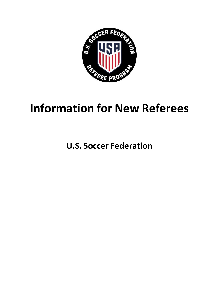

# **Information for New Referees**

**U.S. Soccer Federation**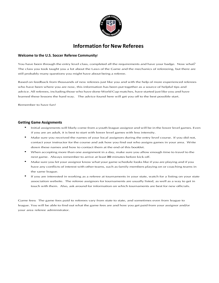

# **Information for New Referees**

#### **Welcome to the U.S. Soccer Referee Community!**

You have been through the entry level class, completed all the requirements and have your badge. Now what? The class you took taught you a lot about the Laws of the Game and the mechanics of refereeing, but there are still probably many questions you might have about being a referee.

Based on feedback from thousands of new referees just like you and with the help of more experienced referees who have been where you are now, this information has been put together as a source of helpful tips and advice. All referees, including those who have done World Cup matches, have started just like you and have learned these lessons the hard way. The advice found here will get you off to the best possible start.

Remember to have fun!

#### **Getting Game Assignments**

- Initial assignments will likely come from a youth league assignor and will be in the lower level games. Even if you are an adult, it is best to start with lower level games with less intensity.
- Make sure you received the names of your local assignors during the entry level course. If you did not, contact your instructor for the course and ask how you find out who assigns games in your area. Write down these names and how to contact them at the end of this booklet.
- When accepting more than one assignment in a day, make sure you allow enough time to travel to the next game. Always remember to arrive at least 30 minutes before kick-off.
- Make sure you let your assignor know what your game schedule looks like if you are playing and if you have any conflicts of interest with other teams, such as family members playing on or coaching teams in the same league.
- If you are interested in working as a referee at tournaments in your state, watch for a listing on your state association website. The referee assignors for tournaments are usually listed, as well as a way to get in touch with them. Also, ask around for information on which tournaments are best for new officials.

Game fees: The game fees paid to referees vary from state to state, and sometimes even from league to league. You will be able to find out what the game fees are and how you get paid from your assignor and/or your area referee administrator.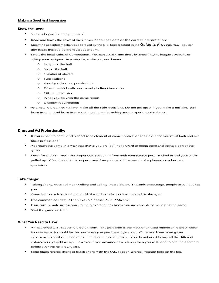#### **Making a Good First Impression**

#### **Know the Laws:**

- Success begins by being prepared.
- Read and know the Laws of the Game. Keep up to date on the correct interpretations.
- Know the accepted mechanics approved by the U.S. Soccer found in the **Guide to Procedures.** You can download this booklet from ussoccer.com.
- Know the local Rules of Competition. You can usually find these by checking the league's website or asking your assignor. In particular, make sure you know:
	- 0 Length of the half
	- <sup>o</sup> Sizeof theball
	- 0 Number of players
	- <sup>o</sup> Substitutions
	- 0 Penalty kicks or no penalty kicks
	- 0 Direct free kicks allowed or only indirect free kicks
	- <sup>o</sup> Offside,nooffside
	- $O$  What you do with the game report
	- <sup>o</sup> Uniform requirements
- As a new referee, you will not make all the right decisions. Do not get upset if you make a mistake. Just learn from it. And learn from working with and watching more experienced referees.

#### **Dress and Act Professionally:**

- If you expect to command respect (one element of game control) on the field, then you must look and act like a professional.
- Approach the game in a way that shows you are looking forward to being there and being a part of the game.
- Dress for success wear the proper U.S. Soccer uniform with your referee jersey tucked in and your socks pulled up. Wear the uniform properly any time you can still be seen by the players, coaches, and spectators.

#### **Take Charge:**

- Taking charge does not mean yelling and acting like a dictator. This only encourages people to yell back at you.
- Greet each coach with a firm handshake and a smile. Look each coach in the eyes.
- Use common courtesy- "Thank you", "Please", "Sir", "Ma'am".
- Issue firm, simple instructions to the players so they know you are capable of managing the game.
- Start the game on time.

#### **What You Need to Have:**

- An approved U.S. Soccer referee uniform. The gold shirt is the most often used referee shirt jersey color for referees so it should be the one jersey you purchase right away. Once you have more game experience, you should add one of the alternate color jerseys. You do not need to buy all the different colored jerseys right away. However, if you advance as a referee, then you will need to add the alternate colors over the next few years.
- Solid black referee shorts or black shorts with the U.S. Soccer Referee Program logo on the leg.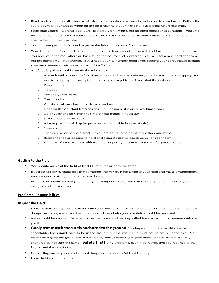- Black socks or black with three white stripes. Socks should always be pulled up to your knees. Pulling the socks down to your ankles when off the field may help your "tan line" but it looks unprofessional.
- Solid black shoes a brand logo is OK, preferably only white, but no other colors or decorations you will be spending a lot of time in your referee shoes so make sure they are very comfortable (and keep them cleaned as much as possible).
- Your current year U.S. Soccer badge on the left shirt pocket of your jersey.
- Your 16 digit U.S. Soccer identification number for tournaments. You will find this number on the ID card you receive in the mail after you have taken the course and registered. You will get a new card each year, but the number will not change. If you need your ID number before you receive your card, please contact your area referee administrator or your SRA/SYRA.
- A referee bag that should contain the following:
	- A watch with stopwatch functions two watches are preferred, one for starting and stopping and one for keeping a running time in case you forget to start or restart the first one
	- <sup>o</sup> Pens/pencils
	- o Notebook
	- o Redandyellow cards
	- o Tossing coins
	- <sup>o</sup> Whistles–alwayshaveanextrainyourbag
	- 0 Flags for the Assistant Referees or Club Linesmen (if you are working alone)
	- 0 Cold weather gear when the time of year makes it necessary
	- 0 Street shoes and dry socks
	- 0 A large plastic trash bag (to put your ref bag inside in case of rain)
	- <sup>o</sup> Sunscreen
	- <sup>o</sup> Snacks (energybarsaregreat!) ifyouaregoingtobedoing morethanonegame
	- 0 Rubber bands or baggies to hold and separate player/coach cards for each team
	- <sup>o</sup> Water– referees are also athletes, and properhydrationis important forperformance

#### **Getting to the Field:**

- You should arrive at the field at least 30 minutes prior to the game.
- If you do not drive, make sure that someone knows you need a ride to your field and make arrangements for someone to pick you up to take you home.
- Bring a cell phone or change for emergency telephone calls, and have the telephone number of your assignor and club contact.

#### **Pre-Game Responsibilities**

#### **Inspect the Field:**

- Look for holes or depressions that could cause twisted or broken ankles and see if holes can be filled. All dangerous rocks, trash, or other objects that do not belong on the field should be removed.
- Nets should be securely fastened to the goal posts and netting pulled back so as not to interfere with the goalkeeper.
- **Goalpostsmustbesecurelyanchoredtotheground**.Sandbagsontheframetowardtherearare acceptable. Posts don't have to be in the ground, but the goal frame must not be easily tipped over. No matter how good the goals look at a distance, always carefully inspect them. If they are not securely anchored do not start the game. **Safety first!** Any problems, even if corrected, must be reported to the league and the SRA/SYRA.
- Corner flags are in place and are not dangerous to players (at least 5 ft. high).
- Entire field is properly lined.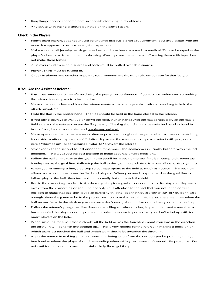- Ifanythingisneeded,thehometeamisresponsibleforfixingfieldproblems.
- Any issues with the field should be noted on the game report.

#### **Check in the Players:**

- Home team players/coaches should be checked first but it is not a requirement. You should start with the team that appears to be most ready for inspection.
- Make sure that all jewelry, earrings, watches, etc. have been removed. A medical ID must be taped to the player's chest or wrist with the info showing. (Earrings must be removed. Covering them with tape does not make them legal.)
- All players must wear shin guards and socks must be pulled over shin guards.
- Player's shirts must be tucked in.
- Check in players and coaches as per the requirements and the Rules of Competition for that league.

#### **If You Are the Assistant Referee:**

- Pay close attention to the referee during the pre-game conference. If you do not understand something the referee is saying, ask for clarification.
- Make sure you understand how the referee wants you to manage substitutions, how long to hold the offsidesignal,etc.
- Hold the flag in the proper hand. The flag should be held in the hand closest to the referee.
- If you turn sideways to walk up or down the field, switch hands with the flag as necessary so the flag is field side and the referee can see the flag clearly. The flag should always be switched hand to hand in front of you, below your waist, and notaboveyourhead.
- Make eye contact with the referee as often as possible throughout the game when you are not watching for offside or attending to other AR duties. If you see the referee making eye contact with you, nod or give a "thumbs up" (or something similar) to "answer" the referee.
- Stay even with the second-to-last opponent (remember the goalkeeper is usually butnotalways the last defender). This gives you the best position to make accurate offside decisions.
- Follow the ball all the way to the goal line so you'll be in position to see if the ball completely (even just barely) crosses the goal line. Following the ball to the goal line each time is an excellent habit to get into.
- When you're running a line, side-step so you stay square to the field as much as needed. This position allows you to continue to see the field and players. When you need to sprint hard to the goal line to follow play or the ball, then turn and run normally but still watch the field.
- Run to the corner flag, or close to it, when signaling for a goal kick or corner kick. Raising your flag yards away from the corner flag or goal line not only calls attention to the fact that you not in the correct position to make that decision, but also carries with it the idea that you are either lazy or you don't care enough about the game to be in the proper position to make the call. However, there are times when the ball moves faster in the air than you can run – don't worry about it, just do the best you can to catch up.
- Follow the referee's pre-game directions on handling substitutions but, in particular, make sure that you have counted the players coming off and the substitutes coming on so that you don't wind up with too many players on the field.
- When signaling for a ball that is clearly off the field across the touchline, point your flag in the direction the throw-in will be taken (not straight up). This is very helpful for the referee in making a decision on which team last touched the ball and which team should be awarded the throw-in.
- Assist the referee in making sure the throw-in is being taken from the correct spot by pointing with your free hand to where the player should be standing when taking the throw-in if needed. Be proactive. Do not wait for the player to make a mistake; help them get it right.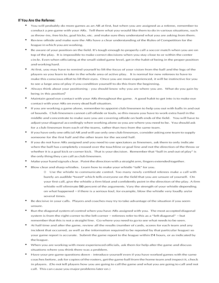#### **If You Are the Referee:**

- You will probably do more games as an AR at first, but when you are assigned as a referee, remember to conduct a pre-game with your ARs. Tell them what you would like them to do in various situations, such as throw-ins, free kicks, goal kicks, etc. and make sure they understand what you are asking from them.
- Review offside and make sure the ARs have a clear understanding of the Rules of Competition for the league in which you are working.
- Be aware of your position on the field. It's tough enough to properly call a soccer match when you are on top of the play. It is impossible to make correct decisions when you stay close to or within the center circle. Even when officiating at the small-sided game level, get in the habit of being in the proper position and working hard.
- At first, you may have to remind yourself to lift the focus of your vision from the ball and the legs of the players so you learn to take in the whole area of active play. It is normal for new referees to have to make this conscious effort to lift their eyes. Once you are more experienced, it will be instinctive for you to see a large area of play if you condition yourself to do this from the beginning.
- Always think about your positioning you should know why you are where you are. What do you gain by being in this position?
- Maintain good eye contact with your ARs throughout the game. A good habit to get into is to make eye contact with your ARs on every dead ball situation.
- If you are working a game alone, remember to appoint club linesmen to help you out with balls in and out of bounds. Club linesmen cannot call offside or fouls, so this means you have to work extra hard in the middle and concentrate to make sure you are covering offside on both ends of the field. You will have to adjust your diagonal accordingly when working alone so you are where you need to be. You should ask for a club linesman from each of the teams, rather than two from the same team.
- If you have only one official AR and will use only one club linesman, consider asking one team to supply someone for the first half and the other team for the second half.
- If you do not have ARs assigned and you need to use spectators as linesmen, ask them to only indicate when the ball has completely crossed over the touchline or goal line and not the direction of the throw or whether it is a goal kick or corner kick. That is your decision. Remember that "ball in and out of play" is the only thing they can call as club linesmen.
- Make your hand signals clear. Point the direction with a straight arm, fingers extended together.
- Blow clear and sharp whistles. Learn how to make your whistle "talk" for you.
	- o Use the whistle to communicate control. Too many newly certified referees make a call with barely an audible "tweet" which tells everyone on the field that you are unsure of yourself. On your first call, give the whistle a firm blast and confidently point in the direction of the play. A firm whistle will eliminate 50 percent of the arguments. Vary the strength of your whistle depending on what happened – if there is a serious foul, for example, blow the whistle very loudly an/or several times.
- Be decisive in your calls. Players and coaches may try to take advantage of the situation if you seem unsure.
- Run the diagonal system of control when you have ARs assigned with you. The most accepted diagonal system is from the right corner to the left corner – referees refer to this as a "left diagonal" – but remember that this is not a straight line. Go where you need to go to see what needs to be seen.
- At half time and after the game, review all the results (number of cards, scores for each team and any incident that occurred, as well as the information required to be reported by that particular league) so your game report is accurate. Submit the game report to the league within 24 hours, or as indicated by theleague.
- When you are working with more experienced officials, ask them for help after the game and discuss situations where you think there was a problem.
- Have your pre-game questions down introduce yourself even if you have worked games with the same coaches before, ask for copies of the rosters, get the game ball from the home team and inspect it, check in players. (Do not tell players how you are going to call the game and what you are going to call and not call. This can cause you major problems later on.)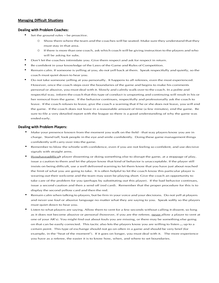#### **Managing Difficult Situations**

#### **Dealing with Problem Coaches:**

- Set the ground rules be proactive.
	- 0 Show them where the team and the coaches will be seated. Make sure they understand that they must stay in that area.
	- 0 If there is more than one coach, ask which coach will be giving instruction to the players and who will be asking for subs.
- Don't let the coaches intimidate you. Give them respect and ask for respect in return.
- Be confident in your knowledge of the Laws of the Game and Rules of Competition.
- Remain calm. If someone is yelling at you, do not yell back at them. Speak respectfully and quietly, so the coach must quiet down to hear you.
- Do not take someone yelling at you personally. It happens to all referees, even the most experienced. However, once the coach steps over the boundaries of the game and begins to make his comments personal or abusive, you must deal with it. Slowly and calmly walk over to the coach. In a polite and respectful way, inform the coach that this type of conduct is unsporting and continuing will result in his or her removal from the game. If the behavior continues, respectfully and professionally ask the coach to leave. If the coach refuses to leave, give the coach a warning that if he or she does not leave, you will end the game. If the coach does not leave in a reasonable amount of time (a few minutes), end the game. Be sure to file a very detailed report with the league so there is a good understanding of why the game was ended early.

#### **Dealing with Problem Players:**

- Make your presence known from the moment you walk on the field that way players know you are in charge. Stand tall, look people in the eye and smile confidently. Doing these game management things confidently will carry over into the game.
- Remember to blow the whistle with confidence, even if you are not feeling so confident, and use decisive signals with straight arms.
- If you have a difficult player dissenting or doing something else to disrupt the game, at a stoppage of play, issue a caution to them and let the player know that kind of behavior is unacceptable. If the player still insists on being difficult, use a well delivered warning to let them know that you have just about reached the limit of what you are going to take. It is often helpful to let the coach know this particular player is wearing out their welcome and the team may soon be playing short. Give the coach an opportunity to take care of the problem for you (perhaps by substituting out this player). If the bad behavior continues, issue a second caution and then a send off (red card). Remember that the proper procedure for this is to display the second yellow card and then the red.
- Remain calm when talking to players, but be firm in your voice and your decisions. Do not yell at players and never use foul or abusive language no matter what they are saying to you. Speak softly so the players must quiet down to hear you.
- Listen to what players are saying. Allow them to vent for a few seconds without calling it dissent, so long as it does not become abusive or personal (however, if you are the referee, neverallow a player to vent at one of your AR's). You might find out about fouls you are missing, or there may be something else going on that can be easily corrected. This tactic also lets the players know you are willing to listen ... up to a certain point. This type of exchange should not go on often in a game and should be very brief (for example, in the "heat of the moment"). If it goes on longer, you must deal with it. The more experience you have as a referee, the easier it is to know how, when, and where to set boundaries.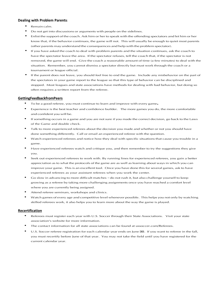#### **Dealing with Problem Parents:**

- Remain calm.
- Do not get into discussions or arguments with people on the sidelines.
- Enlist the support of the coach. Ask him or her to speak with the offending spectators and let him or her know that, if the behavior continues, the game will not. This will usually be enough to quiet most parents (other parents may understand the consequences and help with the problem spectator).
- If you have asked the coach to deal with problem parents and the situation continues, ask the coach to have the spectator leave the area. If the spectator refuses, tell the coach that, if the spectator is not removed, the game will end. Give the coach a reasonable amount of time (a few minutes) to deal with the situation. Remember, you cannot dismiss a spectator directly but must work through the coach or a tournament or league official.
- If the parent does not leave, you should feel free to end the game. Include any misbehavior on the part of the spectators in your game report to the league so that this type of behavior can be disciplined and stopped. Most leagues and state associations have methods for dealing with bad behavior, but doing so often requires a written report from the referee.

#### **GettingFeedbackfromPeers**

- To be a good referee, you must continue to learn and improve with every game.
- Experience is the best teacher and confidence builder. The more games you do, the more comfortable and confident you will be.
- If something occurs in a game and you are not sure if you made the correct decision, go back to the Laws of the Game and double check.
- Talk to more experienced referees about the decision you made and whether or not you should have done something differently. Call or email an experienced referee with the question.
- Watch experienced referees and notice how they deal with specific situations that cause you trouble in a game.
- Have experienced referees watch and critique you, and then remember to try the suggestions they give you.
- Seek out experienced referees to work with. By running lines for experienced referees, you gain a better appreciation as to what the protocols of the game are as well as learning about ways in which you can improve your game. This is an excellent tool. Once you have done this for several games, ask to have experienced referees as your assistant referees when you work the center.
- Go slow in advancing to more difficult matches do not rush it, but also challenge yourself to keep growing as a referee by taking more challenging assignments once you have reached a comfort level where you are currently being assigned.
- Attend referee seminars, workshops and clinics.
- Watch games of every age and competitive level whenever possible. This helps you not only by watching skilled referees work, it also helps you to learn more about the way the game is played.

#### **Recertification**

- Referees must register each year with U.S. Soccer through their State Associations. Visit your state association's website for more information.
- The contact information for all state associations can be found at ussoccer.com/Referees.
- U.S. Soccer referee registration for each calendar year ends on June 30. If you want to referee in the fall, you must recertify before June of that year. You may not take the field until you have registered for the current calendar year.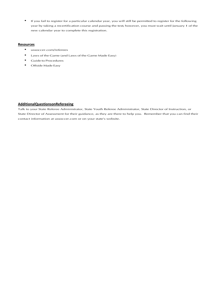• If you fail to register for a particular calendar year, you will still be permitted to register for the following year by taking a recertification course and passing the test; however, you must wait until January 1 of the new calendar year to complete this registration.

#### **Resources**

- ussoccer.com/referees
- Laws of the Game (and Laws of the Game Made Easy)
- Guide to Procedures
- Offside Made Easy

### **AdditionalQuestionsonRefereeing**

Talk to your State Referee Administrator, State Youth Referee Administrator, State Director of Instruction, or State Director of Assessment for their guidance, as they are there to help you. Remember that you can find their contact information at ussoccer.com or on your state's website.